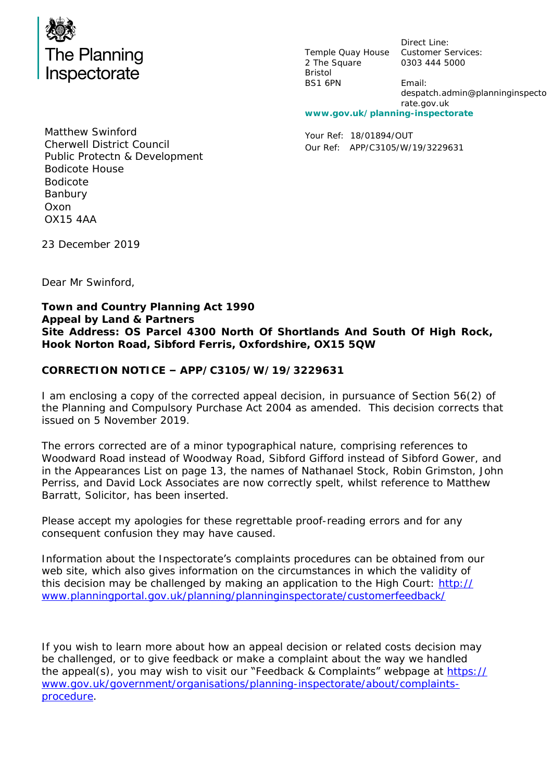

Temple Quay House Customer Services: 2 The Square Bristol BS1 6PN

Direct Line: 0303 444 5000 Email: despatch.admin@planninginspecto rate.gov.uk

**www.gov.uk/planning-inspectorate**

Your Ref: 18/01894/OUT Our Ref: APP/C3105/W/19/3229631

Matthew Swinford Cherwell District Council Public Protectn & Development Bodicote House Bodicote Banbury Oxon OX15 4AA

23 December 2019

Dear Mr Swinford,

**Town and Country Planning Act 1990 Appeal by Land & Partners Site Address: OS Parcel 4300 North Of Shortlands And South Of High Rock, Hook Norton Road, Sibford Ferris, Oxfordshire, OX15 5QW**

**CORRECTION NOTICE – APP/C3105/W/19/3229631**

I am enclosing a copy of the corrected appeal decision, in pursuance of Section 56(2) of the Planning and Compulsory Purchase Act 2004 as amended. This decision corrects that issued on 5 November 2019.

The errors corrected are of a minor typographical nature, comprising references to Woodward Road instead of Woodway Road, Sibford Gifford instead of Sibford Gower, and in the Appearances List on page 13, the names of Nathanael Stock, Robin Grimston, John Perriss, and David Lock Associates are now correctly spelt, whilst reference to Matthew Barratt, Solicitor, has been inserted.

Please accept my apologies for these regrettable proof-reading errors and for any consequent confusion they may have caused.

Information about the Inspectorate's complaints procedures can be obtained from our web site, which also gives information on the circumstances in which the validity of this decision may be challenged by making an application to the High Court: [http://](http://www.planningportal.gov.uk/planning/planninginspectorate/customerfeedback/) [www.planningportal.gov.uk/planning/planninginspectorate/customerfeedback/](http://www.planningportal.gov.uk/planning/planninginspectorate/customerfeedback/)

If you wish to learn more about how an appeal decision or related costs decision may be challenged, or to give feedback or make a complaint about the way we handled the appeal(s), you may wish to visit our "Feedback & Complaints" webpage at [https://](https://www.gov.uk/government/organisations/planning-inspectorate/about/complaints-procedure) [www.gov.uk/government/organisations/planning-inspectorate/about/complaints](https://www.gov.uk/government/organisations/planning-inspectorate/about/complaints-procedure)[procedure.](https://www.gov.uk/government/organisations/planning-inspectorate/about/complaints-procedure)